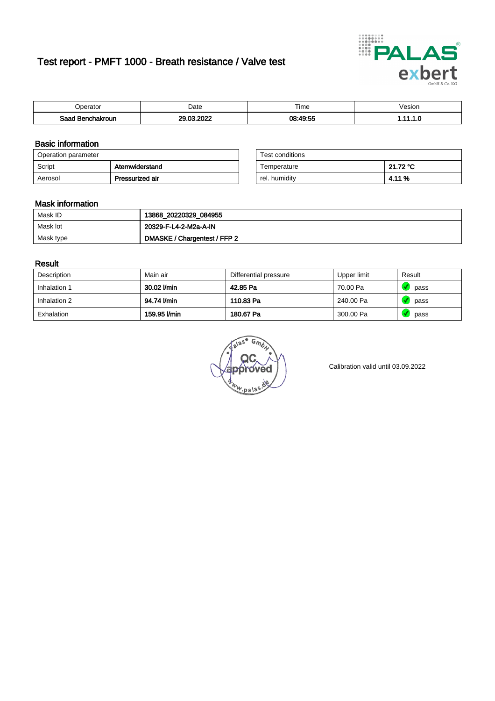# Test report - PMFT 1000 - Breath resistance / Valve test



| 'nerator       | Date                  | $- \cdot$<br>⊺ime<br>. | /esion |
|----------------|-----------------------|------------------------|--------|
| Saad<br>akroun | 0000<br>or.<br>$\sim$ | 08:49:55<br>יר ד       | .      |

### Basic information

| Operation parameter |                 | Test conditions |          |
|---------------------|-----------------|-----------------|----------|
| Script              | Atemwiderstand  | Temperature     | 21.72 °C |
| Aerosol             | Pressurized air | rel. humidity   | 4.11%    |

| Test conditions |          |
|-----------------|----------|
| Temperature     | 21.72 °C |
| rel. humidity   | 4.11 %   |

#### Mask information

| Mask ID   | 13868_20220329_084955        |
|-----------|------------------------------|
| Mask lot  | 20329-F-L4-2-M2a-A-IN        |
| Mask type | DMASKE / Chargentest / FFP 2 |

### Result

| Description  | Main air     | Differential pressure | Upper limit | Result |
|--------------|--------------|-----------------------|-------------|--------|
| Inhalation 1 | 30.02 l/min  | 42.85 Pa              | 70.00 Pa    | pass   |
| Inhalation 2 | 94.74 l/min  | 110.83 Pa             | 240.00 Pa   | pass   |
| Exhalation   | 159.95 l/min | 180.67 Pa             | 300.00 Pa   | pass   |

G. w.pala

Calibration valid until 03.09.2022